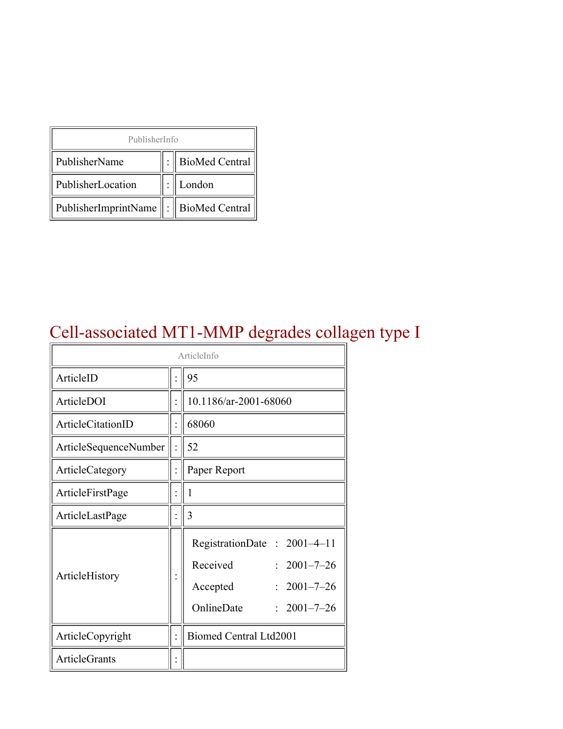| PublisherInfo                         |  |                    |  |  |
|---------------------------------------|--|--------------------|--|--|
| PublisherName                         |  | :   BioMed Central |  |  |
| PublisherLocation                     |  | London             |  |  |
| PublisherImprintName : BioMed Central |  |                    |  |  |

## Cell-associated MT1-MMP degrades collagen type I

| ArticleInfo           |  |                                                                                                                              |  |
|-----------------------|--|------------------------------------------------------------------------------------------------------------------------------|--|
| ArticleID             |  | 95                                                                                                                           |  |
| ArticleDOI            |  | 10.1186/ar-2001-68060                                                                                                        |  |
| ArticleCitationID     |  | 68060                                                                                                                        |  |
| ArticleSequenceNumber |  | 52                                                                                                                           |  |
| ArticleCategory       |  | Paper Report                                                                                                                 |  |
| ArticleFirstPage      |  | 1                                                                                                                            |  |
| ArticleLastPage       |  | 3                                                                                                                            |  |
| ArticleHistory        |  | RegistrationDate: 2001-4-11<br>Received<br>$2001 - 7 - 26$<br>$2001 - 7 - 26$<br>Accepted<br>OnlineDate<br>$: 2001 - 7 - 26$ |  |
| ArticleCopyright      |  | Biomed Central Ltd2001                                                                                                       |  |
| <b>ArticleGrants</b>  |  |                                                                                                                              |  |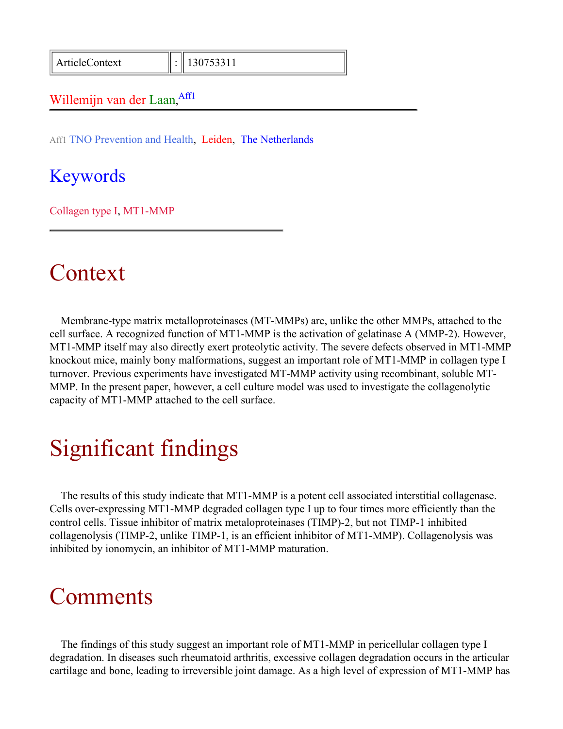ArticleContext : 130753311

#### Willemijn van der Laan, Affl

Aff1 TNO Prevention and Health, Leiden, The Netherlands

#### Keywords

Collagen type I, MT1-MMP

#### Context

Membrane-type matrix metalloproteinases (MT-MMPs) are, unlike the other MMPs, attached to the cell surface. A recognized function of MT1-MMP is the activation of gelatinase A (MMP-2). However, MT1-MMP itself may also directly exert proteolytic activity. The severe defects observed in MT1-MMP knockout mice, mainly bony malformations, suggest an important role of MT1-MMP in collagen type I turnover. Previous experiments have investigated MT-MMP activity using recombinant, soluble MT-MMP. In the present paper, however, a cell culture model was used to investigate the collagenolytic capacity of MT1-MMP attached to the cell surface.

## Significant findings

The results of this study indicate that MT1-MMP is a potent cell associated interstitial collagenase. Cells over-expressing MT1-MMP degraded collagen type I up to four times more efficiently than the control cells. Tissue inhibitor of matrix metaloproteinases (TIMP)-2, but not TIMP-1 inhibited collagenolysis (TIMP-2, unlike TIMP-1, is an efficient inhibitor of MT1-MMP). Collagenolysis was inhibited by ionomycin, an inhibitor of MT1-MMP maturation.

### **Comments**

The findings of this study suggest an important role of MT1-MMP in pericellular collagen type I degradation. In diseases such rheumatoid arthritis, excessive collagen degradation occurs in the articular cartilage and bone, leading to irreversible joint damage. As a high level of expression of MT1-MMP has